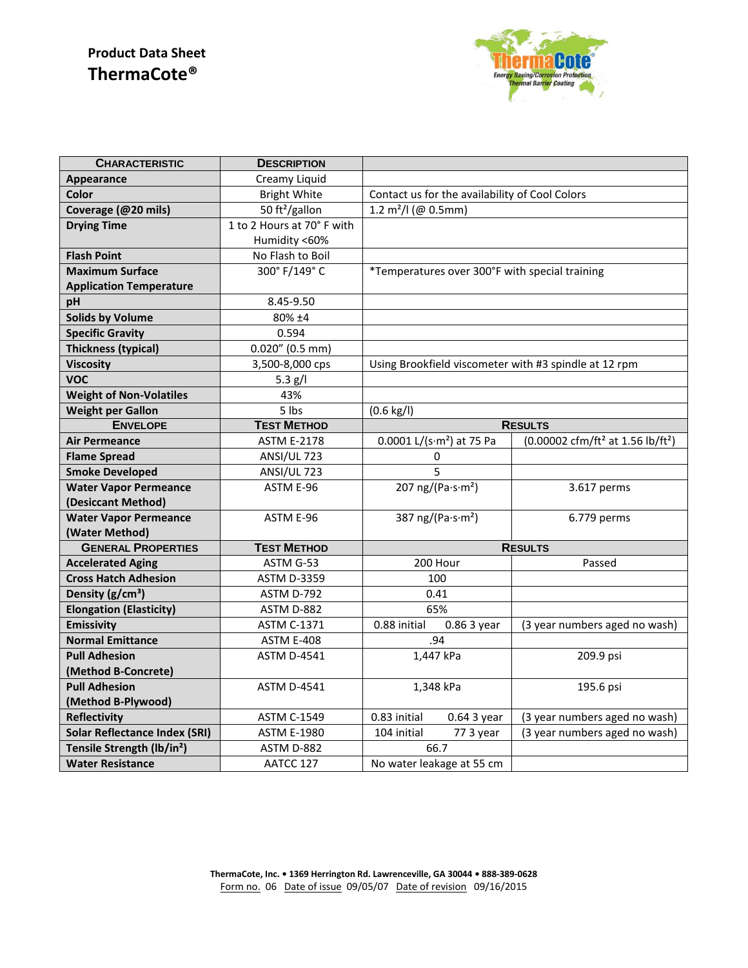# **Product Data Sheet ThermaCote®**



| <b>CHARACTERISTIC</b>                  | <b>DESCRIPTION</b>         |                                                       |                                                           |
|----------------------------------------|----------------------------|-------------------------------------------------------|-----------------------------------------------------------|
| Appearance                             | Creamy Liquid              |                                                       |                                                           |
| <b>Color</b>                           | <b>Bright White</b>        | Contact us for the availability of Cool Colors        |                                                           |
| Coverage (@20 mils)                    | 50 ft <sup>2</sup> /gallon | 1.2 $m^2$ / $ $ (@ 0.5mm)                             |                                                           |
| <b>Drying Time</b>                     | 1 to 2 Hours at 70° F with |                                                       |                                                           |
|                                        | Humidity <60%              |                                                       |                                                           |
| <b>Flash Point</b>                     | No Flash to Boil           |                                                       |                                                           |
| <b>Maximum Surface</b>                 | 300° F/149° C              | *Temperatures over 300°F with special training        |                                                           |
| <b>Application Temperature</b>         |                            |                                                       |                                                           |
| pH                                     | 8.45-9.50                  |                                                       |                                                           |
| <b>Solids by Volume</b>                | 80% ±4                     |                                                       |                                                           |
| <b>Specific Gravity</b>                | 0.594                      |                                                       |                                                           |
| <b>Thickness (typical)</b>             | $0.020''$ (0.5 mm)         |                                                       |                                                           |
| <b>Viscosity</b>                       | 3,500-8,000 cps            | Using Brookfield viscometer with #3 spindle at 12 rpm |                                                           |
| <b>VOC</b>                             | 5.3 $g/I$                  |                                                       |                                                           |
| <b>Weight of Non-Volatiles</b>         | 43%                        |                                                       |                                                           |
| <b>Weight per Gallon</b>               | 5 lbs                      | $(0.6 \text{ kg/l})$                                  |                                                           |
| <b>ENVELOPE</b>                        | <b>TEST METHOD</b>         | <b>RESULTS</b>                                        |                                                           |
| <b>Air Permeance</b>                   | <b>ASTM E-2178</b>         | $0.0001$ L/(s·m <sup>2</sup> ) at 75 Pa               | (0.00002 cfm/ft <sup>2</sup> at 1.56 lb/ft <sup>2</sup> ) |
| <b>Flame Spread</b>                    | ANSI/UL 723                | 0                                                     |                                                           |
| <b>Smoke Developed</b>                 | ANSI/UL 723                | 5                                                     |                                                           |
| <b>Water Vapor Permeance</b>           | ASTM E-96                  | 207 ng/(Pa $\cdot$ s $\cdot$ m <sup>2</sup> )         | 3.617 perms                                               |
| (Desiccant Method)                     |                            |                                                       |                                                           |
| <b>Water Vapor Permeance</b>           | ASTM E-96                  | 387 ng/(Pa $\cdot$ s $\cdot$ m <sup>2</sup> )         | 6.779 perms                                               |
| (Water Method)                         |                            |                                                       |                                                           |
| <b>GENERAL PROPERTIES</b>              | <b>TEST METHOD</b>         | <b>RESULTS</b>                                        |                                                           |
| <b>Accelerated Aging</b>               | ASTM G-53                  | 200 Hour                                              | Passed                                                    |
| <b>Cross Hatch Adhesion</b>            | <b>ASTM D-3359</b>         | 100                                                   |                                                           |
| Density (g/cm <sup>3</sup> )           | ASTM D-792                 | 0.41                                                  |                                                           |
| <b>Elongation (Elasticity)</b>         | ASTM D-882                 | 65%                                                   |                                                           |
| <b>Emissivity</b>                      | <b>ASTM C-1371</b>         | 0.88 initial<br>0.86 3 year                           | (3 year numbers aged no wash)                             |
| <b>Normal Emittance</b>                | ASTM E-408                 | .94                                                   |                                                           |
| <b>Pull Adhesion</b>                   | <b>ASTM D-4541</b>         | 1,447 kPa                                             | 209.9 psi                                                 |
| (Method B-Concrete)                    |                            |                                                       |                                                           |
| <b>Pull Adhesion</b>                   | <b>ASTM D-4541</b>         | 1,348 kPa                                             | 195.6 psi                                                 |
| (Method B-Plywood)                     |                            |                                                       |                                                           |
| <b>Reflectivity</b>                    | <b>ASTM C-1549</b>         | 0.83 initial<br>0.64 3 year                           | (3 year numbers aged no wash)                             |
| <b>Solar Reflectance Index (SRI)</b>   | <b>ASTM E-1980</b>         | 77 3 year<br>104 initial                              | (3 year numbers aged no wash)                             |
| Tensile Strength (lb/in <sup>2</sup> ) | ASTM D-882                 | 66.7                                                  |                                                           |
| <b>Water Resistance</b>                | AATCC 127                  | No water leakage at 55 cm                             |                                                           |